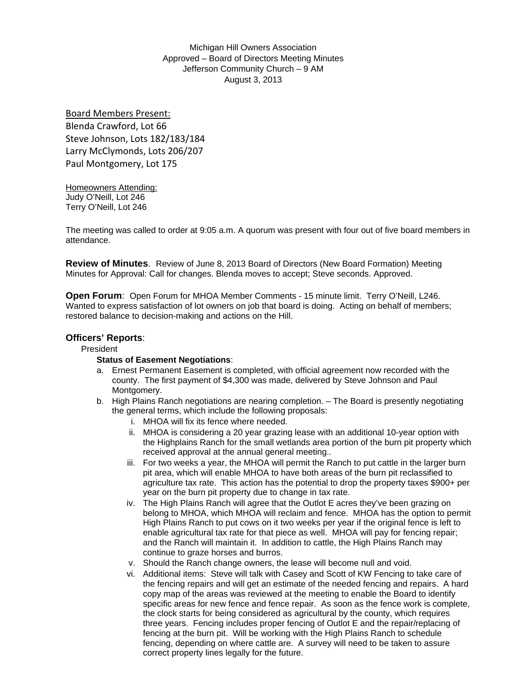Michigan Hill Owners Association Approved – Board of Directors Meeting Minutes Jefferson Community Church – 9 AM August 3, 2013

Board Members Present: Blenda Crawford, Lot 66 Steve Johnson, Lots 182/183/184 Larry McClymonds, Lots 206/207 Paul Montgomery, Lot 175

Homeowners Attending: Judy O'Neill, Lot 246 Terry O'Neill, Lot 246

The meeting was called to order at 9:05 a.m. A quorum was present with four out of five board members in attendance.

**Review of Minutes**. Review of June 8, 2013 Board of Directors (New Board Formation) Meeting Minutes for Approval: Call for changes. Blenda moves to accept; Steve seconds. Approved.

**Open Forum**: Open Forum for MHOA Member Comments - 15 minute limit. Terry O'Neill, L246. Wanted to express satisfaction of lot owners on job that board is doing. Acting on behalf of members; restored balance to decision-making and actions on the Hill.

# **Officers' Reports**:

President

#### **Status of Easement Negotiations**:

- a. Ernest Permanent Easement is completed, with official agreement now recorded with the county. The first payment of \$4,300 was made, delivered by Steve Johnson and Paul Montgomery.
- b. High Plains Ranch negotiations are nearing completion. The Board is presently negotiating the general terms, which include the following proposals:
	- i. MHOA will fix its fence where needed.
	- ii. MHOA is considering a 20 year grazing lease with an additional 10-year option with the Highplains Ranch for the small wetlands area portion of the burn pit property which received approval at the annual general meeting..
	- iii. For two weeks a year, the MHOA will permit the Ranch to put cattle in the larger burn pit area, which will enable MHOA to have both areas of the burn pit reclassified to agriculture tax rate. This action has the potential to drop the property taxes \$900+ per year on the burn pit property due to change in tax rate.
	- iv. The High Plains Ranch will agree that the Outlot E acres they've been grazing on belong to MHOA, which MHOA will reclaim and fence. MHOA has the option to permit High Plains Ranch to put cows on it two weeks per year if the original fence is left to enable agricultural tax rate for that piece as well. MHOA will pay for fencing repair; and the Ranch will maintain it. In addition to cattle, the High Plains Ranch may continue to graze horses and burros.
	- v. Should the Ranch change owners, the lease will become null and void.
	- vi. Additional items: Steve will talk with Casey and Scott of KW Fencing to take care of the fencing repairs and will get an estimate of the needed fencing and repairs. A hard copy map of the areas was reviewed at the meeting to enable the Board to identify specific areas for new fence and fence repair. As soon as the fence work is complete, the clock starts for being considered as agricultural by the county, which requires three years. Fencing includes proper fencing of Outlot E and the repair/replacing of fencing at the burn pit. Will be working with the High Plains Ranch to schedule fencing, depending on where cattle are. A survey will need to be taken to assure correct property lines legally for the future.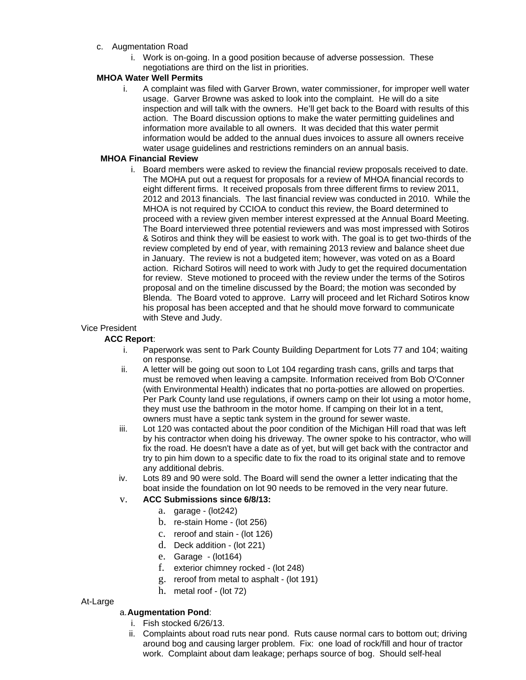## c. Augmentation Road

i. Work is on-going. In a good position because of adverse possession. These negotiations are third on the list in priorities.

# **MHOA Water Well Permits**

i. A complaint was filed with Garver Brown, water commissioner, for improper well water usage. Garver Browne was asked to look into the complaint. He will do a site inspection and will talk with the owners. He'll get back to the Board with results of this action. The Board discussion options to make the water permitting guidelines and information more available to all owners. It was decided that this water permit information would be added to the annual dues invoices to assure all owners receive water usage guidelines and restrictions reminders on an annual basis.

## **MHOA Financial Review**

i. Board members were asked to review the financial review proposals received to date. The MOHA put out a request for proposals for a review of MHOA financial records to eight different firms. It received proposals from three different firms to review 2011, 2012 and 2013 financials. The last financial review was conducted in 2010. While the MHOA is not required by CCIOA to conduct this review, the Board determined to proceed with a review given member interest expressed at the Annual Board Meeting. The Board interviewed three potential reviewers and was most impressed with Sotiros & Sotiros and think they will be easiest to work with. The goal is to get two-thirds of the review completed by end of year, with remaining 2013 review and balance sheet due in January. The review is not a budgeted item; however, was voted on as a Board action. Richard Sotiros will need to work with Judy to get the required documentation for review. Steve motioned to proceed with the review under the terms of the Sotiros proposal and on the timeline discussed by the Board; the motion was seconded by Blenda. The Board voted to approve. Larry will proceed and let Richard Sotiros know his proposal has been accepted and that he should move forward to communicate with Steve and Judy.

# Vice President

## **ACC Report**:

- i. Paperwork was sent to Park County Building Department for Lots 77 and 104; waiting on response.
- ii. A letter will be going out soon to Lot 104 regarding trash cans, grills and tarps that must be removed when leaving a campsite. Information received from Bob O'Conner (with Environmental Health) indicates that no porta-potties are allowed on properties. Per Park County land use regulations, if owners camp on their lot using a motor home, they must use the bathroom in the motor home. If camping on their lot in a tent, owners must have a septic tank system in the ground for sewer waste.
- iii. Lot 120 was contacted about the poor condition of the Michigan Hill road that was left by his contractor when doing his driveway. The owner spoke to his contractor, who will fix the road. He doesn't have a date as of yet, but will get back with the contractor and try to pin him down to a specific date to fix the road to its original state and to remove any additional debris.
- iv. Lots 89 and 90 were sold. The Board will send the owner a letter indicating that the boat inside the foundation on lot 90 needs to be removed in the very near future.

#### v. **ACC Submissions since 6/8/13:**

- a. garage (lot242)
- b. re-stain Home (lot 256)
- c. reroof and stain (lot 126)
- d. Deck addition (lot 221)
- e. Garage (lot164)
- f. exterior chimney rocked (lot 248)
- g. reroof from metal to asphalt (lot 191)
- h. metal roof (lot 72)

#### At-Large

#### a. **Augmentation Pond**:

- i. Fish stocked 6/26/13.
- ii. Complaints about road ruts near pond. Ruts cause normal cars to bottom out; driving around bog and causing larger problem. Fix: one load of rock/fill and hour of tractor work. Complaint about dam leakage; perhaps source of bog. Should self-heal